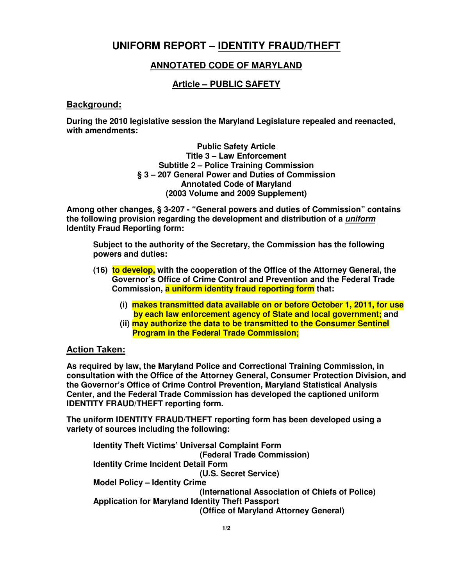# **UNIFORM REPORT – IDENTITY FRAUD/THEFT**

# **ANNOTATED CODE OF MARYLAND**

# **Article – PUBLIC SAFETY**

#### **Background:**

**During the 2010 legislative session the Maryland Legislature repealed and reenacted, with amendments:** 

> **Public Safety Article Title 3 – Law Enforcement Subtitle 2 – Police Training Commission § 3 – 207 General Power and Duties of Commission Annotated Code of Maryland (2003 Volume and 2009 Supplement)**

**Among other changes, § 3-207 - "General powers and duties of Commission" contains the following provision regarding the development and distribution of a uniform Identity Fraud Reporting form:** 

**Subject to the authority of the Secretary, the Commission has the following powers and duties:** 

- **(16) to develop, with the cooperation of the Office of the Attorney General, the Governor's Office of Crime Control and Prevention and the Federal Trade Commission, a uniform identity fraud reporting form that:** 
	- **(i) makes transmitted data available on or before October 1, 2011, for use by each law enforcement agency of State and local government; and**
	- **(ii) may authorize the data to be transmitted to the Consumer Sentinel Program in the Federal Trade Commission;**

## **Action Taken:**

**As required by law, the Maryland Police and Correctional Training Commission, in consultation with the Office of the Attorney General, Consumer Protection Division, and the Governor's Office of Crime Control Prevention, Maryland Statistical Analysis Center, and the Federal Trade Commission has developed the captioned uniform IDENTITY FRAUD/THEFT reporting form.** 

**The uniform IDENTITY FRAUD/THEFT reporting form has been developed using a variety of sources including the following:** 

**Identity Theft Victims' Universal Complaint Form (Federal Trade Commission) Identity Crime Incident Detail Form (U.S. Secret Service) Model Policy – Identity Crime (International Association of Chiefs of Police) Application for Maryland Identity Theft Passport (Office of Maryland Attorney General)**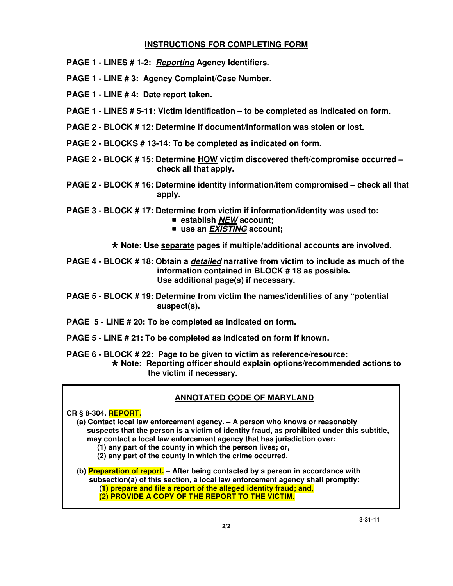## **INSTRUCTIONS FOR COMPLETING FORM**

- **PAGE 1 LINES # 1-2: Reporting Agency Identifiers.**
- **PAGE 1 LINE # 3: Agency Complaint/Case Number.**
- **PAGE 1 LINE # 4: Date report taken.**
- **PAGE 1 LINES # 5-11: Victim Identification to be completed as indicated on form.**
- **PAGE 2 BLOCK # 12: Determine if document/information was stolen or lost.**
- **PAGE 2 BLOCKS # 13-14: To be completed as indicated on form.**
- **PAGE 2 BLOCK # 15: Determine HOW victim discovered theft/compromise occurred check all that apply.**
- **PAGE 2 BLOCK # 16: Determine identity information/item compromised check all that apply.**
- **PAGE 3 BLOCK # 17: Determine from victim if information/identity was used to:** 
	- **establish NEW account;**
	- use an *EXISTING* account;

- **Note: Use separate pages if multiple/additional accounts are involved.** 

- **PAGE 4 BLOCK # 18: Obtain a detailed narrative from victim to include as much of the information contained in BLOCK # 18 as possible. Use additional page(s) if necessary.**
- **PAGE 5 BLOCK # 19: Determine from victim the names/identities of any "potential suspect(s).**
- **PAGE 5 LINE # 20: To be completed as indicated on form.**
- **PAGE 5 LINE # 21: To be completed as indicated on form if known.**
- **PAGE 6 BLOCK # 22: Page to be given to victim as reference/resource:** - **Note: Reporting officer should explain options/recommended actions to the victim if necessary.**

## **ANNOTATED CODE OF MARYLAND**

**CR § 8-304. REPORT. (a) Contact local law enforcement agency. – A person who knows or reasonably suspects that the person is a victim of identity fraud, as prohibited under this subtitle, may contact a local law enforcement agency that has jurisdiction over: (1) any part of the county in which the person lives; or, (2) any part of the county in which the crime occurred. (b) Preparation of report. – After being contacted by a person in accordance with subsection(a) of this section, a local law enforcement agency shall promptly: (1) prepare and file a report of the alleged identity fraud; and, (2) PROVIDE A COPY OF THE REPORT TO THE VICTIM.**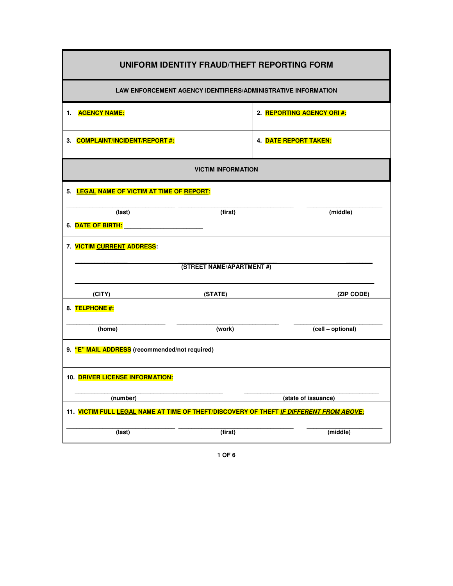| UNIFORM IDENTITY FRAUD/THEFT REPORTING FORM                                             |         |                            |  |  |
|-----------------------------------------------------------------------------------------|---------|----------------------------|--|--|
| <b>LAW ENFORCEMENT AGENCY IDENTIFIERS/ADMINISTRATIVE INFORMATION</b>                    |         |                            |  |  |
| 1. AGENCY NAME:                                                                         |         | 2. REPORTING AGENCY ORI #: |  |  |
| 3. COMPLAINT/INCIDENT/REPORT#:                                                          |         | 4. DATE REPORT TAKEN:      |  |  |
| <b>VICTIM INFORMATION</b>                                                               |         |                            |  |  |
| 5. LEGAL NAME OF VICTIM AT TIME OF REPORT:                                              |         |                            |  |  |
| (last)                                                                                  | (first) | (middle)                   |  |  |
|                                                                                         |         |                            |  |  |
| 7. VICTIM CURRENT ADDRESS:                                                              |         |                            |  |  |
| (STREET NAME/APARTMENT#)                                                                |         |                            |  |  |
| (CITY)                                                                                  | (STATE) | (ZIP CODE)                 |  |  |
| 8. TELPHONE #:                                                                          |         |                            |  |  |
| (home)                                                                                  | (work)  | (cell - optional)          |  |  |
| 9. "E" MAIL ADDRESS (recommended/not required)                                          |         |                            |  |  |
| 10. DRIVER LICENSE INFORMATION:                                                         |         |                            |  |  |
| (number)                                                                                |         | (state of issuance)        |  |  |
| 11. VICTIM FULL LEGAL NAME AT TIME OF THEFT/DISCOVERY OF THEFT IF DIFFERENT FROM ABOVE: |         |                            |  |  |
| (last)                                                                                  | (first) | (middle)                   |  |  |

**1 OF 6**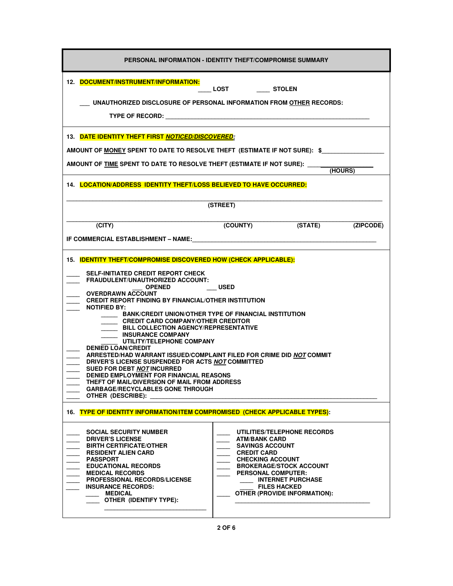| PERSONAL INFORMATION - IDENTITY THEFT/COMPROMISE SUMMARY                                                                                                                                                                                                                                                                                                                                                                                                                                                                                                                                                                                                                                                                                                                                                                                                                            |                                                                                                                                                                                                                                                                                         |  |  |  |
|-------------------------------------------------------------------------------------------------------------------------------------------------------------------------------------------------------------------------------------------------------------------------------------------------------------------------------------------------------------------------------------------------------------------------------------------------------------------------------------------------------------------------------------------------------------------------------------------------------------------------------------------------------------------------------------------------------------------------------------------------------------------------------------------------------------------------------------------------------------------------------------|-----------------------------------------------------------------------------------------------------------------------------------------------------------------------------------------------------------------------------------------------------------------------------------------|--|--|--|
| 12. DOCUMENT/INSTRUMENT/INFORMATION:<br>LOST _______ STOLEN<br>UNAUTHORIZED DISCLOSURE OF PERSONAL INFORMATION FROM OTHER RECORDS:<br>TYPE OF RECORD: TYPE OF RECORD                                                                                                                                                                                                                                                                                                                                                                                                                                                                                                                                                                                                                                                                                                                |                                                                                                                                                                                                                                                                                         |  |  |  |
| 13. DATE IDENTITY THEFT FIRST NOTICED/DISCOVERED:<br>AMOUNT OF <u>MONEY</u> SPENT TO DATE TO RESOLVE THEFT (ESTIMATE IF NOT SURE): \$<br>AMOUNT OF TIME SPENT TO DATE TO RESOLVE THEFT (ESTIMATE IF NOT SURE): _____<br>(HOURS)<br>14. LOCATION/ADDRESS IDENTITY THEFT/LOSS BELIEVED TO HAVE OCCURRED:                                                                                                                                                                                                                                                                                                                                                                                                                                                                                                                                                                              |                                                                                                                                                                                                                                                                                         |  |  |  |
| (CITY)                                                                                                                                                                                                                                                                                                                                                                                                                                                                                                                                                                                                                                                                                                                                                                                                                                                                              | (STREET)<br>(COUNTY) (STATE)<br>(ZIPCODE)                                                                                                                                                                                                                                               |  |  |  |
| 15. <b>IDENTITY THEFT/COMPROMISE DISCOVERED HOW (CHECK APPLICABLE):</b><br><b>SELF-INITIATED CREDIT REPORT CHECK</b><br>FRAUDULENT/UNAUTHORIZED ACCOUNT:<br><b>OPENED</b><br><b>USED</b><br><b>OVERDRAWN ACCOUNT</b><br><b>CREDIT REPORT FINDING BY FINANCIAL/OTHER INSTITUTION</b><br><b>NOTIFIED BY:</b><br>BANK/CREDIT UNION/OTHER TYPE OF FINANCIAL INSTITUTION<br>CREDIT CARD COMPANY/OTHER CREDITOR<br><b>BILL COLLECTION AGENCY/REPRESENTATIVE</b><br><b>INSURANCE COMPANY</b><br>UTILITY/TELEPHONE COMPANY<br><b>DENIED LOAN/CREDIT</b><br>ARRESTED/HAD WARRANT ISSUED/COMPLAINT FILED FOR CRIME DID NOT COMMIT<br>DRIVER'S LICENSE SUSPENDED FOR ACTS NOT COMMITTED<br><b>SUED FOR DEBT NOT INCURRED</b><br><b>DENIED EMPLOYMENT FOR FINANCIAL REASONS</b><br>THEFT OF MAIL/DIVERSION OF MAIL FROM ADDRESS<br><b>GARBAGE/RECYCLABLES GONE THROUGH</b><br>OTHER (DESCRIBE): |                                                                                                                                                                                                                                                                                         |  |  |  |
| 16. TYPE OF IDENTITY INFORMATION/ITEM COMPROMISED (CHECK APPLICABLE TYPES):<br><b>SOCIAL SECURITY NUMBER</b><br><b>DRIVER'S LICENSE</b><br><b>BIRTH CERTIFICATE/OTHER</b><br><b>RESIDENT ALIEN CARD</b><br><b>PASSPORT</b><br><b>EDUCATIONAL RECORDS</b><br><b>MEDICAL RECORDS</b><br><b>PROFESSIONAL RECORDS/LICENSE</b><br><b>INSURANCE RECORDS:</b><br><b>MEDICAL</b><br><b>OTHER (IDENTIFY TYPE):</b>                                                                                                                                                                                                                                                                                                                                                                                                                                                                           | UTILITIES/TELEPHONE RECORDS<br><b>ATM/BANK CARD</b><br><b>SAVINGS ACCOUNT</b><br><b>CREDIT CARD</b><br><b>CHECKING ACCOUNT</b><br><b>BROKERAGE/STOCK ACCOUNT</b><br><b>PERSONAL COMPUTER:</b><br><b>INTERNET PURCHASE</b><br><b>FILES HACKED</b><br><b>OTHER (PROVIDE INFORMATION):</b> |  |  |  |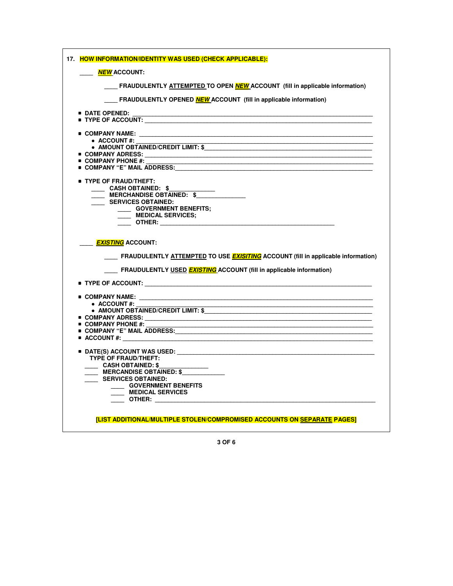| 17. HOW INFORMATION/IDENTITY WAS USED (CHECK APPLICABLE):                                                                                                                                                                           |
|-------------------------------------------------------------------------------------------------------------------------------------------------------------------------------------------------------------------------------------|
| <b>NEW</b> ACCOUNT:                                                                                                                                                                                                                 |
| FRAUDULENTLY ATTEMPTED TO OPEN <b>NEW</b> ACCOUNT (fill in applicable information)                                                                                                                                                  |
| FRAUDULENTLY OPENED <b>NEW</b> ACCOUNT (fill in applicable information)                                                                                                                                                             |
| <b>DATE OPENED:</b>                                                                                                                                                                                                                 |
|                                                                                                                                                                                                                                     |
|                                                                                                                                                                                                                                     |
| $\bullet$ ACCOUNT#:                                                                                                                                                                                                                 |
|                                                                                                                                                                                                                                     |
| ■ COMPANY ADRESS: ___________________                                                                                                                                                                                               |
| <b>COMPANY PHONE #:</b>                                                                                                                                                                                                             |
|                                                                                                                                                                                                                                     |
| <b>TYPE OF FRAUD/THEFT:</b>                                                                                                                                                                                                         |
| CASH OBTAINED: \$                                                                                                                                                                                                                   |
| <b>MERCHANDISE OBTAINED: \$</b>                                                                                                                                                                                                     |
| SERVICES OBTAINED:                                                                                                                                                                                                                  |
| GOVERNMENT BENEFITS;                                                                                                                                                                                                                |
| <b>MEDICAL SERVICES;</b>                                                                                                                                                                                                            |
| <b>OTHER:</b> The contract of the contract of the contract of the contract of the contract of the contract of the contract of the contract of the contract of the contract of the contract of the contract of the contract of the c |
| <b>EXISTING</b> ACCOUNT:<br>FRAUDULENTLY ATTEMPTED TO USE <b>EXISITING</b> ACCOUNT (fill in applicable information)<br>FRAUDULENTLY USED <b>EXISTING</b> ACCOUNT (fill in applicable information)                                   |
| $\blacksquare$ TYPE OF ACCOUNT: $\blacksquare$                                                                                                                                                                                      |
|                                                                                                                                                                                                                                     |
| $\bullet$ ACCOUNT #:                                                                                                                                                                                                                |
| • AMOUNT OBTAINED/CREDIT LIMIT: \$                                                                                                                                                                                                  |
| ■ COMPANY ADRESS: _____________________                                                                                                                                                                                             |
| $\blacksquare$ COMPANY PHONE #:<br><u> 1989 - Johann Barbara, markazar margolar (h. 1989).</u>                                                                                                                                      |
| OMPANY "E" MAIL ADDRESS:                                                                                                                                                                                                            |
| $\blacksquare$ ACCOUNT #: ______________                                                                                                                                                                                            |
| $\blacksquare$ DATE(S) ACCOUNT WAS USED:                                                                                                                                                                                            |
| <b>TYPE OF FRAUD/THEFT:</b>                                                                                                                                                                                                         |
| __ CASH OBTAINED: \$                                                                                                                                                                                                                |
| MERCANDISE OBTAINED: \$                                                                                                                                                                                                             |
| SERVICES OBTAINED:                                                                                                                                                                                                                  |
| <b>COVERNMENT BENEFITS</b>                                                                                                                                                                                                          |
| MEDICAL SERVICES                                                                                                                                                                                                                    |
|                                                                                                                                                                                                                                     |
|                                                                                                                                                                                                                                     |
| [LIST ADDITIONAL/MULTIPLE STOLEN/COMPROMISED ACCOUNTS ON SEPARATE PAGES]                                                                                                                                                            |

**3 OF 6**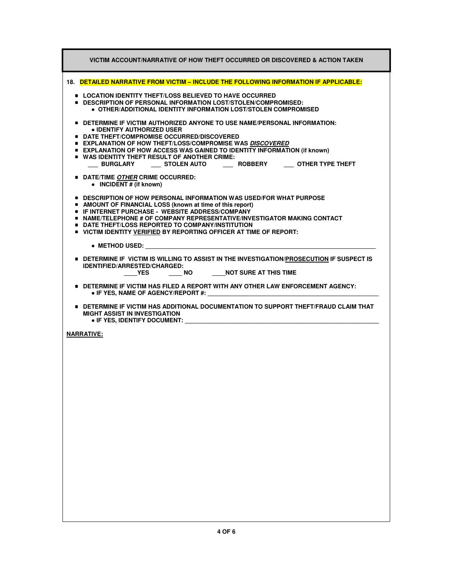| VICTIM ACCOUNT/NARRATIVE OF HOW THEFT OCCURRED OR DISCOVERED & ACTION TAKEN                                                                                                                                                                                                                                                                                                                                                                                  |
|--------------------------------------------------------------------------------------------------------------------------------------------------------------------------------------------------------------------------------------------------------------------------------------------------------------------------------------------------------------------------------------------------------------------------------------------------------------|
| 18. DETAILED NARRATIVE FROM VICTIM - INCLUDE THE FOLLOWING INFORMATION IF APPLICABLE:                                                                                                                                                                                                                                                                                                                                                                        |
| ■ LOCATION IDENTITY THEFT/LOSS BELIEVED TO HAVE OCCURRED<br>■ DESCRIPTION OF PERSONAL INFORMATION LOST/STOLEN/COMPROMISED:<br>$\bullet$ OTHER/ADDITIONAL IDENTITY INFORMATION LOST/STOLEN COMPROMISED                                                                                                                                                                                                                                                        |
| $\bullet$ Determine if victim authorized anyone to use name/personal information:<br>• IDENTIFY AUTHORIZED USER<br><b>DATE THEFT/COMPROMISE OCCURRED/DISCOVERED</b><br><b>EXPLANATION OF HOW THEFT/LOSS/COMPROMISE WAS DISCOVERED</b><br><b>EXPLANATION OF HOW ACCESS WAS GAINED TO IDENTITY INFORMATION (if known)</b><br><b>UP WAS IDENTITY THEFT RESULT OF ANOTHER CRIME:</b><br>____ BURGLARY ______ STOLEN AUTO _______ ROBBERY ______ OTHER TYPE THEFT |
| <b>DATE/TIME OTHER CRIME OCCURRED:</b><br>• INCIDENT # (if known)                                                                                                                                                                                                                                                                                                                                                                                            |
| ■ DESCRIPTION OF HOW PERSONAL INFORMATION WAS USED/FOR WHAT PURPOSE<br>• AMOUNT OF FINANCIAL LOSS (known at time of this report)<br><b>E. IF INTERNET PURCHASE - WEBSITE ADDRESS/COMPANY</b><br>$\bullet$ NAME/TELEPHONE # OF COMPANY REPRESENTATIVE/INVESTIGATOR MAKING CONTACT<br><b>DATE THEFT/LOSS REPORTED TO COMPANY/INSTITUTION</b><br><b>UNITED BY REPORTION OF FIGURE 10 YOU FEE</b> AT TIME OF REPORT:                                             |
| • METHOD USED: ________________                                                                                                                                                                                                                                                                                                                                                                                                                              |
| $\bullet$ Determine if victim is willing to assist in the investigation/prosecution if suspect is<br><b>IDENTIFIED/ARRESTED/CHARGED:</b><br>YES NO NOT SURE AT THIS TIME                                                                                                                                                                                                                                                                                     |
| $\bullet$ DETERMINE IF VICTIM HAS FILED A REPORT WITH ANY OTHER LAW ENFORCEMENT AGENCY:<br>$\bullet$ IF YES, NAME OF AGENCY/REPORT #:                                                                                                                                                                                                                                                                                                                        |
| <b>DETERMINE IF VICTIM HAS ADDITIONAL DOCUMENTATION TO SUPPORT THEFT/FRAUD CLAIM THAT</b><br><b>MIGHT ASSIST IN INVESTIGATION</b><br>$\bullet$ IF YES, IDENTIFY DOCUMENT:                                                                                                                                                                                                                                                                                    |
| <b>NARRATIVE:</b>                                                                                                                                                                                                                                                                                                                                                                                                                                            |
|                                                                                                                                                                                                                                                                                                                                                                                                                                                              |
|                                                                                                                                                                                                                                                                                                                                                                                                                                                              |
|                                                                                                                                                                                                                                                                                                                                                                                                                                                              |
|                                                                                                                                                                                                                                                                                                                                                                                                                                                              |
|                                                                                                                                                                                                                                                                                                                                                                                                                                                              |
|                                                                                                                                                                                                                                                                                                                                                                                                                                                              |
|                                                                                                                                                                                                                                                                                                                                                                                                                                                              |
|                                                                                                                                                                                                                                                                                                                                                                                                                                                              |
|                                                                                                                                                                                                                                                                                                                                                                                                                                                              |
|                                                                                                                                                                                                                                                                                                                                                                                                                                                              |
|                                                                                                                                                                                                                                                                                                                                                                                                                                                              |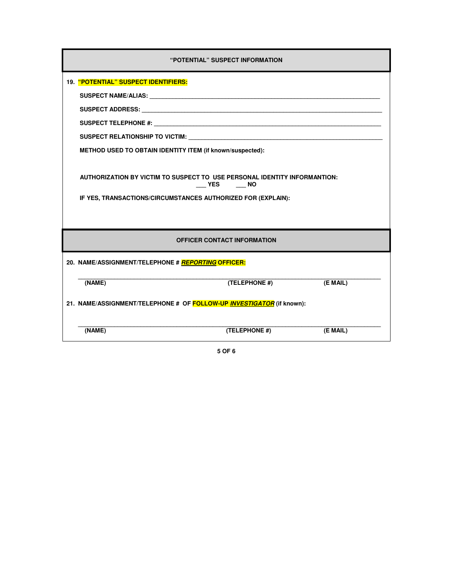| "POTENTIAL" SUSPECT INFORMATION                                                                                                                                                                                                |               |          |  |  |
|--------------------------------------------------------------------------------------------------------------------------------------------------------------------------------------------------------------------------------|---------------|----------|--|--|
| 19. "POTENTIAL" SUSPECT IDENTIFIERS:                                                                                                                                                                                           |               |          |  |  |
|                                                                                                                                                                                                                                |               |          |  |  |
|                                                                                                                                                                                                                                |               |          |  |  |
|                                                                                                                                                                                                                                |               |          |  |  |
| SUSPECT RELATIONSHIP TO VICTIM: Network and the contract of the contract of the contract of the contract of the contract of the contract of the contract of the contract of the contract of the contract of the contract of th |               |          |  |  |
| METHOD USED TO OBTAIN IDENTITY ITEM (if known/suspected):                                                                                                                                                                      |               |          |  |  |
|                                                                                                                                                                                                                                |               |          |  |  |
| AUTHORIZATION BY VICTIM TO SUSPECT TO USE PERSONAL IDENTITY INFORMANTION:                                                                                                                                                      | VES NO        |          |  |  |
| IF YES, TRANSACTIONS/CIRCUMSTANCES AUTHORIZED FOR (EXPLAIN):                                                                                                                                                                   |               |          |  |  |
|                                                                                                                                                                                                                                |               |          |  |  |
| <b>OFFICER CONTACT INFORMATION</b>                                                                                                                                                                                             |               |          |  |  |
| 20. NAME/ASSIGNMENT/TELEPHONE # REPORTING OFFICER:                                                                                                                                                                             |               |          |  |  |
| (NAME)                                                                                                                                                                                                                         | (TELEPHONE #) | (E MAIL) |  |  |
| 21. NAME/ASSIGNMENT/TELEPHONE # OF FOLLOW-UP INVESTIGATOR (if known):                                                                                                                                                          |               |          |  |  |
| (NAME)                                                                                                                                                                                                                         | (TELEPHONE #) | (E MAIL) |  |  |

**5 OF 6**